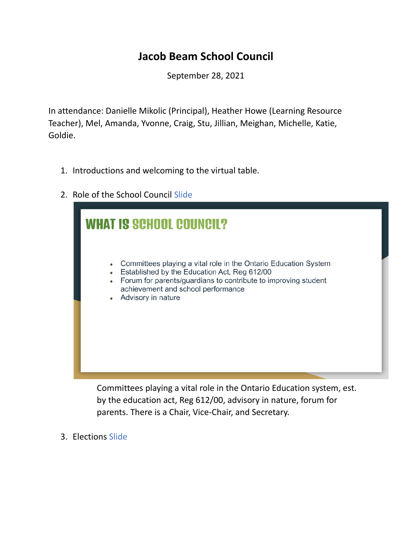## **Jacob Beam School Council**

September 28, 2021

In attendance: Danielle Mikolic (Principal), Heather Howe (Learning Resource Teacher), Mel, Amanda, Yvonne, Craig, Stu, Jillian, Meighan, Michelle, Katie, Goldie.

- 1. Introductions and welcoming to the virtual table.
- 2. Role of the School Council Slide

|           | Committees playing a vital role in the Ontario Education System                                      |
|-----------|------------------------------------------------------------------------------------------------------|
| $\bullet$ | Established by the Education Act, Reg 612/00                                                         |
| $\bullet$ | Forum for parents/guardians to contribute to improving student<br>achievement and school performance |
|           | Advisory in nature                                                                                   |
|           |                                                                                                      |
|           |                                                                                                      |
|           |                                                                                                      |
|           |                                                                                                      |
|           |                                                                                                      |

Committees playing a vital role in the Ontario Education system, est. by the education act, Reg 612/00, advisory in nature, forum for parents. There is a Chair, Vice-Chair, and Secretary.

3. Elections Slide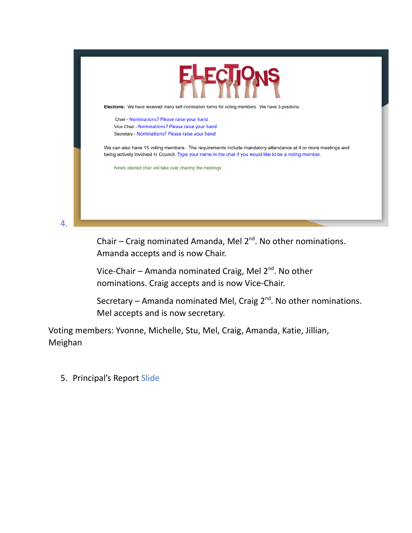

Chair  $-$  Craig nominated Amanda, Mel  $2^{nd}$ . No other nominations. Amanda accepts and is now Chair.

Vice-Chair – Amanda nominated Craig, Mel 2<sup>nd</sup>. No other nominations. Craig accepts and is now Vice-Chair.

Secretary – Amanda nominated Mel, Craig 2<sup>nd</sup>. No other nominations. Mel accepts and is now secretary.

Voting members: Yvonne, Michelle, Stu, Mel, Craig, Amanda, Katie, Jillian, Meighan

5. Principal's Report Slide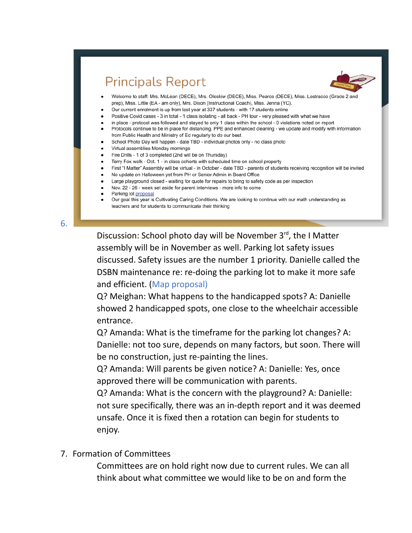## **Principals Report**



- Welcome to staff: Mrs. McLean (DECE), Mrs. Oleskiw (DECE), Miss. Pearce (DECE), Miss. Lostracco (Grade 2 and prep), Miss. Little (EA - am only), Mrs. Dixon (Instructional Coach), Miss. Jenna (YC).
- Our current enrolment is up from last year at 337 students with 17 students online
- Positive Covid cases 3 in total 1 class isolating all back PH tour very pleased with what we have
- in place protocol was followed and stayed to only 1 class within the school 0 violations noted on report
- Protocols continue to be in place for distancing, PPE and enhanced cleaning we update and modify with information from Public Health and Ministry of Ed regularly to do our best
- School Photo Day will happen date TBD individual photos only no class photo
- Virtual assemblies Monday mornings
- Fire Drills 1 of 3 completed (2nd will be on Thursday)
- Terry Fox walk Oct. 1 in class cohorts with scheduled time on school property
- First "I Matter" Assembly will be virtual in October date TBD parents of students receiving recognition will be invited
	- No update on Halloween yet from PH or Senior Admin in Board Office
- Large playground closed waiting for quote for repairs to bring to safety code as per inspection
- Nov. 22 26 week set aside for parent interviews more info to come
- Parking lot proposal
- Our goal this year is Cultivating Caring Conditions. We are looking to continue with our math understanding as teachers and for students to communicate their thinking

6.

Discussion: School photo day will be November 3rd, the I Matter assembly will be in November as well. Parking lot safety issues discussed. Safety issues are the number 1 priority. Danielle called the DSBN maintenance re: re-doing the parking lot to make it more safe and efficient. (Map proposal)

Q? Meighan: What happens to the handicapped spots? A: Danielle showed 2 handicapped spots, one close to the wheelchair accessible entrance.

Q? Amanda: What is the timeframe for the parking lot changes? A: Danielle: not too sure, depends on many factors, but soon. There will be no construction, just re-painting the lines.

Q? Amanda: Will parents be given notice? A: Danielle: Yes, once approved there will be communication with parents.

Q? Amanda: What is the concern with the playground? A: Danielle: not sure specifically, there was an in-depth report and it was deemed unsafe. Once it is fixed then a rotation can begin for students to enjoy.

7. Formation of Committees

Committees are on hold right now due to current rules. We can all think about what committee we would like to be on and form the